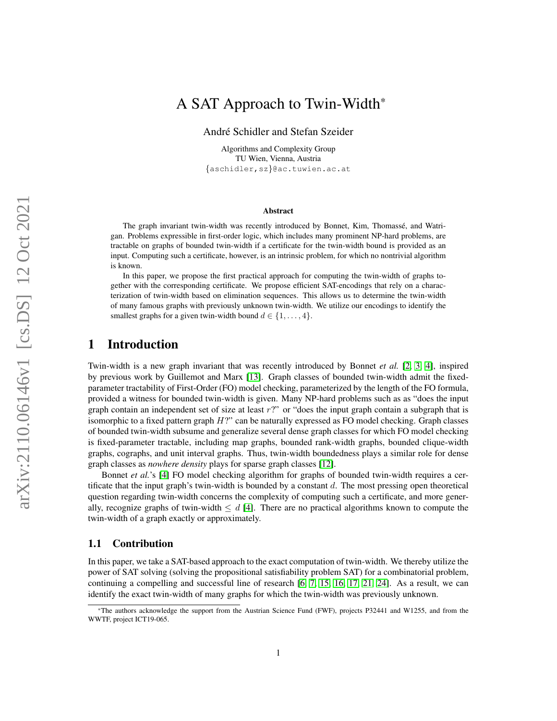# <span id="page-0-0"></span>A SAT Approach to Twin-Width\*

André Schidler and Stefan Szeider

Algorithms and Complexity Group TU Wien, Vienna, Austria {aschidler,sz}@ac.tuwien.ac.at

#### Abstract

The graph invariant twin-width was recently introduced by Bonnet, Kim, Thomassé, and Watrigan. Problems expressible in first-order logic, which includes many prominent NP-hard problems, are tractable on graphs of bounded twin-width if a certificate for the twin-width bound is provided as an input. Computing such a certificate, however, is an intrinsic problem, for which no nontrivial algorithm is known.

In this paper, we propose the first practical approach for computing the twin-width of graphs together with the corresponding certificate. We propose efficient SAT-encodings that rely on a characterization of twin-width based on elimination sequences. This allows us to determine the twin-width of many famous graphs with previously unknown twin-width. We utilize our encodings to identify the smallest graphs for a given twin-width bound  $d \in \{1, \ldots, 4\}.$ 

### 1 Introduction

Twin-width is a new graph invariant that was recently introduced by Bonnet *et al.* [\[2,](#page-12-0) [3,](#page-12-1) [4\]](#page-12-2), inspired by previous work by Guillemot and Marx [\[13\]](#page-13-0). Graph classes of bounded twin-width admit the fixedparameter tractability of First-Order (FO) model checking, parameterized by the length of the FO formula, provided a witness for bounded twin-width is given. Many NP-hard problems such as as "does the input graph contain an independent set of size at least  $r$ ?" or "does the input graph contain a subgraph that is isomorphic to a fixed pattern graph  $H$ ?" can be naturally expressed as FO model checking. Graph classes of bounded twin-width subsume and generalize several dense graph classes for which FO model checking is fixed-parameter tractable, including map graphs, bounded rank-width graphs, bounded clique-width graphs, cographs, and unit interval graphs. Thus, twin-width boundedness plays a similar role for dense graph classes as *nowhere density* plays for sparse graph classes [\[12\]](#page-13-1).

Bonnet *et al.*'s [\[4\]](#page-12-2) FO model checking algorithm for graphs of bounded twin-width requires a certificate that the input graph's twin-width is bounded by a constant  $d$ . The most pressing open theoretical question regarding twin-width concerns the complexity of computing such a certificate, and more generally, recognize graphs of twin-width  $\leq d$  [\[4\]](#page-12-2). There are no practical algorithms known to compute the twin-width of a graph exactly or approximately.

#### 1.1 Contribution

In this paper, we take a SAT-based approach to the exact computation of twin-width. We thereby utilize the power of SAT solving (solving the propositional satisfiability problem SAT) for a combinatorial problem, continuing a compelling and successful line of research [\[6,](#page-12-3) [7,](#page-12-4) [15,](#page-13-2) [16,](#page-13-3) [17,](#page-13-4) [21,](#page-13-5) [24\]](#page-13-6). As a result, we can identify the exact twin-width of many graphs for which the twin-width was previously unknown.

<sup>\*</sup>The authors acknowledge the support from the Austrian Science Fund (FWF), projects P32441 and W1255, and from the WWTF, project ICT19-065.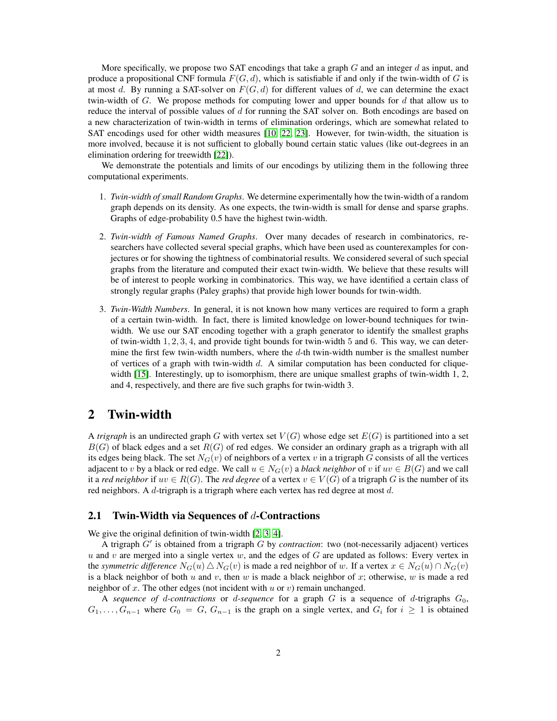More specifically, we propose two SAT encodings that take a graph  $G$  and an integer  $d$  as input, and produce a propositional CNF formula  $F(G, d)$ , which is satisfiable if and only if the twin-width of G is at most d. By running a SAT-solver on  $F(G, d)$  for different values of d, we can determine the exact twin-width of  $G$ . We propose methods for computing lower and upper bounds for  $d$  that allow us to reduce the interval of possible values of d for running the SAT solver on. Both encodings are based on a new characterization of twin-width in terms of elimination orderings, which are somewhat related to SAT encodings used for other width measures [\[10,](#page-12-5) [22,](#page-13-7) [23\]](#page-13-8). However, for twin-width, the situation is more involved, because it is not sufficient to globally bound certain static values (like out-degrees in an elimination ordering for treewidth [\[22\]](#page-13-7)).

We demonstrate the potentials and limits of our encodings by utilizing them in the following three computational experiments.

- 1. *Twin-width of small Random Graphs*. We determine experimentally how the twin-width of a random graph depends on its density. As one expects, the twin-width is small for dense and sparse graphs. Graphs of edge-probability 0.5 have the highest twin-width.
- 2. *Twin-width of Famous Named Graphs*. Over many decades of research in combinatorics, researchers have collected several special graphs, which have been used as counterexamples for conjectures or for showing the tightness of combinatorial results. We considered several of such special graphs from the literature and computed their exact twin-width. We believe that these results will be of interest to people working in combinatorics. This way, we have identified a certain class of strongly regular graphs (Paley graphs) that provide high lower bounds for twin-width.
- 3. *Twin-Width Numbers*. In general, it is not known how many vertices are required to form a graph of a certain twin-width. In fact, there is limited knowledge on lower-bound techniques for twinwidth. We use our SAT encoding together with a graph generator to identify the smallest graphs of twin-width  $1, 2, 3, 4$ , and provide tight bounds for twin-width 5 and 6. This way, we can determine the first few twin-width numbers, where the  $d$ -th twin-width number is the smallest number of vertices of a graph with twin-width  $d$ . A similar computation has been conducted for clique-width [\[15\]](#page-13-2). Interestingly, up to isomorphism, there are unique smallest graphs of twin-width 1, 2, and 4, respectively, and there are five such graphs for twin-width 3.

### <span id="page-1-0"></span>2 Twin-width

A *trigraph* is an undirected graph G with vertex set  $V(G)$  whose edge set  $E(G)$  is partitioned into a set  $B(G)$  of black edges and a set  $R(G)$  of red edges. We consider an ordinary graph as a trigraph with all its edges being black. The set  $N_G(v)$  of neighbors of a vertex v in a trigraph G consists of all the vertices adjacent to v by a black or red edge. We call  $u \in N_G(v)$  a *black neighbor* of v if  $uv \in B(G)$  and we call it a *red neighbor* if  $uv \in R(G)$ . The *red degree* of a vertex  $v \in V(G)$  of a trigraph G is the number of its red neighbors. A d-trigraph is a trigraph where each vertex has red degree at most d.

#### 2.1 Twin-Width via Sequences of  $d$ -Contractions

We give the original definition of twin-width [\[2,](#page-12-0) [3,](#page-12-1) [4\]](#page-12-2).

A trigraph  $G'$  is obtained from a trigraph  $G$  by *contraction*: two (not-necessarily adjacent) vertices  $u$  and  $v$  are merged into a single vertex  $w$ , and the edges of  $G$  are updated as follows: Every vertex in the *symmetric difference*  $N_G(u) \triangle N_G(v)$  is made a red neighbor of w. If a vertex  $x \in N_G(u) \cap N_G(v)$ is a black neighbor of both u and v, then w is made a black neighbor of x; otherwise, w is made a red neighbor of x. The other edges (not incident with  $u$  or  $v$ ) remain unchanged.

A *sequence of d-contractions* or *d-sequence* for a graph  $G$  is a sequence of *d*-trigraphs  $G_0$ ,  $G_1, \ldots, G_{n-1}$  where  $G_0 = G$ ,  $G_{n-1}$  is the graph on a single vertex, and  $G_i$  for  $i \geq 1$  is obtained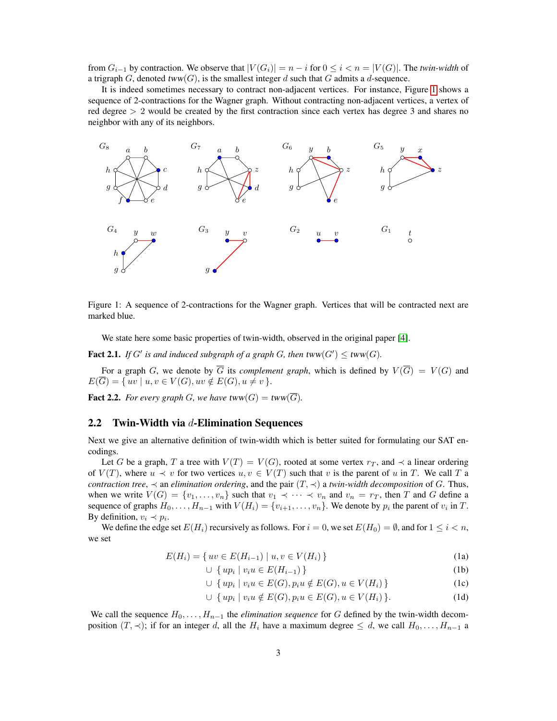from  $G_{i-1}$  by contraction. We observe that  $|V(G_i)| = n - i$  for  $0 \le i < n = |V(G)|$ . The *twin-width* of a trigraph G, denoted  $tww(G)$ , is the smallest integer d such that G admits a d-sequence.

It is indeed sometimes necessary to contract non-adjacent vertices. For instance, Figure [1](#page-2-0) shows a sequence of 2-contractions for the Wagner graph. Without contracting non-adjacent vertices, a vertex of red degree  $> 2$  would be created by the first contraction since each vertex has degree 3 and shares no neighbor with any of its neighbors.

<span id="page-2-0"></span>

Figure 1: A sequence of 2-contractions for the Wagner graph. Vertices that will be contracted next are marked blue.

We state here some basic properties of twin-width, observed in the original paper [\[4\]](#page-12-2).

<span id="page-2-2"></span>**Fact 2.1.** If G' is and induced subgraph of a graph G, then  $\text{tww}(G') \le \text{tww}(G)$ .

For a graph G, we denote by  $\overline{G}$  its *complement graph*, which is defined by  $V(\overline{G}) = V(G)$  and  $E(\overline{G}) = \{ uv \mid u, v \in V(G), uv \notin E(G), u \neq v \}.$ 

<span id="page-2-3"></span>**Fact 2.2.** *For every graph G, we have*  $tww(G) = tww(\overline{G})$ *.* 

#### 2.2 Twin-Width via  $d$ -Elimination Sequences

Next we give an alternative definition of twin-width which is better suited for formulating our SAT encodings.

Let G be a graph, T a tree with  $V(T) = V(G)$ , rooted at some vertex  $r<sub>T</sub>$ , and  $\prec$  a linear ordering of  $V(T)$ , where  $u \prec v$  for two vertices  $u, v \in V(T)$  such that v is the parent of u in T. We call T a *contraction tree*,  $\prec$  an *elimination ordering*, and the pair  $(T, \prec)$  a *twin-width decomposition* of G. Thus, when we write  $V(G) = \{v_1, \ldots, v_n\}$  such that  $v_1 \prec \cdots \prec v_n$  and  $v_n = r_T$ , then T and G define a sequence of graphs  $H_0, \ldots, H_{n-1}$  with  $V(H_i) = \{v_{i+1}, \ldots, v_n\}$ . We denote by  $p_i$  the parent of  $v_i$  in  $T$ . By definition,  $v_i \prec p_i$ .

<span id="page-2-4"></span>We define the edge set  $E(H_i)$  recursively as follows. For  $i = 0$ , we set  $E(H_0) = \emptyset$ , and for  $1 \leq i < n$ , we set

$$
E(H_i) = \{ uv \in E(H_{i-1}) \mid u, v \in V(H_i) \}
$$
\n(1a)

<span id="page-2-6"></span><span id="page-2-1"></span>
$$
\cup \{ up_i \mid v_i u \in E(H_{i-1}) \}
$$
\n
$$
\cup \{ up_i \mid v_i u \in E(G) \land E(G) \land E(H) \} \tag{1}
$$

$$
\cup \{ up_i \mid v_i u \in E(G), p_i u \notin E(G), u \in V(H_i) \}
$$
 (1c)

<span id="page-2-5"></span>
$$
\cup \{ up_i \mid v_i u \notin E(G), p_i u \in E(G), u \in V(H_i) \}.
$$
\n(1d)

We call the sequence  $H_0, \ldots, H_{n-1}$  the *elimination sequence* for G defined by the twin-width decomposition  $(T, \prec)$ ; if for an integer d, all the  $H_i$  have a maximum degree  $\leq d$ , we call  $H_0, \ldots, H_{n-1}$  a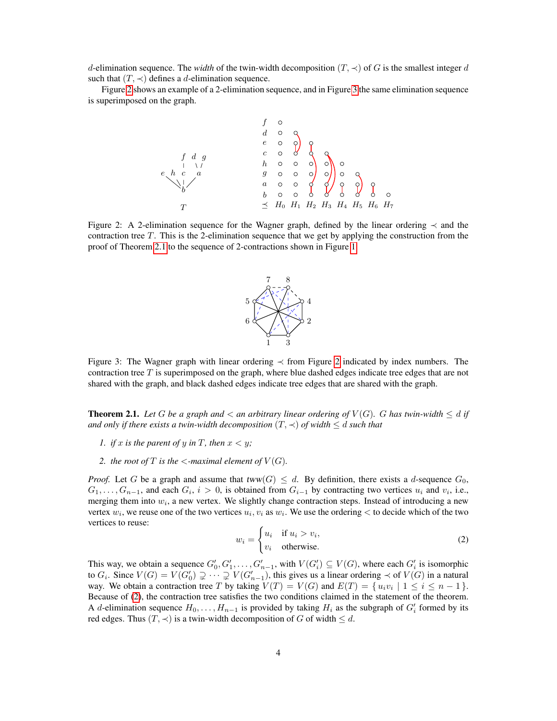d-elimination sequence. The *width* of the twin-width decomposition  $(T, \prec)$  of G is the smallest integer d such that  $(T, \prec)$  defines a d-elimination sequence.

<span id="page-3-0"></span>Figure [2](#page-3-0) shows an example of a 2-elimination sequence, and in Figure [3](#page-3-1) the same elimination sequence is superimposed on the graph.

T b c f e h a d g f d e c h g a b H<sup>0</sup> H<sup>1</sup> H<sup>2</sup> H<sup>3</sup> H<sup>4</sup> H<sup>5</sup> H<sup>6</sup> H<sup>7</sup>

<span id="page-3-1"></span>Figure 2: A 2-elimination sequence for the Wagner graph, defined by the linear ordering ≺ and the contraction tree T. This is the 2-elimination sequence that we get by applying the construction from the proof of Theorem [2.1](#page-3-2) to the sequence of 2-contractions shown in Figure [1.](#page-2-0)



Figure 3: The Wagner graph with linear ordering ≺ from Figure [2](#page-3-0) indicated by index numbers. The contraction tree T is superimposed on the graph, where blue dashed edges indicate tree edges that are not shared with the graph, and black dashed edges indicate tree edges that are shared with the graph.

<span id="page-3-2"></span>**Theorem 2.1.** Let G be a graph and  $\lt$  an arbitrary linear ordering of  $V(G)$ . G has twin-width  $\leq d$  if *and only if there exists a twin-width decomposition*  $(T, \prec)$  *of width*  $\leq d$  *such that* 

- *1. if* x *is the parent of* y *in* T, then  $x < y$ ;
- 2. *the root of*  $T$  *is the*  $\le$ -maximal element of  $V(G)$ *.*

*Proof.* Let G be a graph and assume that  $tww(G) \leq d$ . By definition, there exists a d-sequence  $G_0$ ,  $G_1, \ldots, G_{n-1}$ , and each  $G_i$ ,  $i > 0$ , is obtained from  $G_{i-1}$  by contracting two vertices  $u_i$  and  $v_i$ , i.e., merging them into  $w_i$ , a new vertex. We slightly change contraction steps. Instead of introducing a new vertex  $w_i$ , we reuse one of the two vertices  $u_i, v_i$  as  $w_i$ . We use the ordering  $\lt$  to decide which of the two vertices to reuse:

$$
w_i = \begin{cases} u_i & \text{if } u_i > v_i, \\ v_i & \text{otherwise.} \end{cases}
$$
 (2)

This way, we obtain a sequence  $G'_0, G'_1, \ldots, G'_{n-1}$ , with  $V(G'_i) \subseteq V(G)$ , where each  $G'_i$  is isomorphic to  $G_i$ . Since  $V(G) = V(G'_0) \supsetneq \cdots \supsetneq V(G'_{n-1})$ , this gives us a linear ordering  $\prec$  of  $V(G)$  in a natural way. We obtain a contraction tree T by taking  $V(T) = V(G)$  and  $E(T) = \{u_i v_i \mid 1 \le i \le n-1\}$ . Because of [\(2\)](#page-2-1), the contraction tree satisfies the two conditions claimed in the statement of the theorem. A d-elimination sequence  $H_0, \ldots, H_{n-1}$  is provided by taking  $H_i$  as the subgraph of  $G'_i$  formed by its red edges. Thus  $(T, \prec)$  is a twin-width decomposition of G of width  $\leq d$ .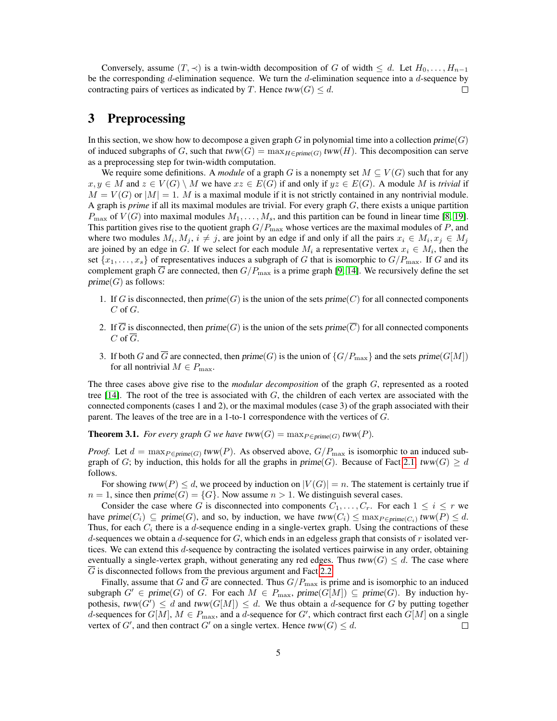Conversely, assume  $(T, \prec)$  is a twin-width decomposition of G of width  $\leq d$ . Let  $H_0, \ldots, H_{n-1}$ be the corresponding  $d$ -elimination sequence. We turn the  $d$ -elimination sequence into a  $d$ -sequence by contracting pairs of vertices as indicated by T. Hence tww $(G) \leq d$ .  $\Box$ 

### <span id="page-4-1"></span>3 Preprocessing

In this section, we show how to decompose a given graph  $G$  in polynomial time into a collection  $\text{prime}(G)$ of induced subgraphs of G, such that  $tww(G) = \max_{H \in prime(G)} tww(H)$ . This decomposition can serve as a preprocessing step for twin-width computation.

We require some definitions. A *module* of a graph G is a nonempty set  $M \subseteq V(G)$  such that for any  $x, y \in M$  and  $z \in V(G) \setminus M$  we have  $xz \in E(G)$  if and only if  $yz \in E(G)$ . A module M is *trivial* if  $M = V(G)$  or  $|M| = 1$ . M is a maximal module if it is not strictly contained in any nontrivial module. A graph is *prime* if all its maximal modules are trivial. For every graph G, there exists a unique partition  $P_{\text{max}}$  of  $V(G)$  into maximal modules  $M_1, \ldots, M_s$ , and this partition can be found in linear time [\[8,](#page-12-6) [19\]](#page-13-9). This partition gives rise to the quotient graph  $G/P_{\text{max}}$  whose vertices are the maximal modules of P, and where two modules  $M_i, M_j, i \neq j$ , are joint by an edge if and only if all the pairs  $x_i \in M_i, x_j \in M_j$ are joined by an edge in G. If we select for each module  $M_i$  a representative vertex  $x_i \in M_i$ , then the set  $\{x_1, \ldots, x_s\}$  of representatives induces a subgraph of G that is isomorphic to  $G/P_{\text{max}}$ . If G and its complement graph  $\overline{G}$  are connected, then  $G/P_{\text{max}}$  is a prime graph [\[9,](#page-12-7) [14\]](#page-13-10). We recursively define the set  $prime(G)$  as follows:

- 1. If G is disconnected, then  $prime(G)$  is the union of the sets  $prime(C)$  for all connected components  $C$  of  $G$ .
- 2. If  $\overline{G}$  is disconnected, then prime(G) is the union of the sets prime( $\overline{C}$ ) for all connected components  $C$  of  $G$ .
- 3. If both G and  $\overline{G}$  are connected, then prime(G) is the union of  $\{G/P_{\text{max}}\}$  and the sets prime(G[M]) for all nontrivial  $M \in P_{\text{max}}$ .

The three cases above give rise to the *modular decomposition* of the graph G, represented as a rooted tree [\[14\]](#page-13-10). The root of the tree is associated with  $G$ , the children of each vertex are associated with the connected components (cases 1 and 2), or the maximal modules (case 3) of the graph associated with their parent. The leaves of the tree are in a 1-to-1 correspondence with the vertices of G.

<span id="page-4-0"></span>**Theorem 3.1.** *For every graph G we have*  $\text{tww}(G) = \max_{P \in \text{prime}(G)} \text{tww}(P)$ *.* 

*Proof.* Let  $d = \max_{P \in \text{prime}(G)} \text{tww}(P)$ . As observed above,  $G/P_{\text{max}}$  is isomorphic to an induced subgraph of G; by induction, this holds for all the graphs in  $prime(G)$ . Because of Fact [2.1,](#page-2-2) tww(G)  $\geq d$ follows.

For showing tww(P)  $\leq d$ , we proceed by induction on  $|V(G)| = n$ . The statement is certainly true if  $n = 1$ , since then prime(G) = {G}. Now assume  $n > 1$ . We distinguish several cases.

Consider the case where G is disconnected into components  $C_1, \ldots, C_r$ . For each  $1 \leq i \leq r$  we have  $\text{prime}(C_i) \subseteq \text{prime}(G)$ , and so, by induction, we have  $\text{tww}(C_i) \leq \max_{P \in \text{prime}(C_i)} \text{tww}(P) \leq d$ . Thus, for each  $C_i$  there is a d-sequence ending in a single-vertex graph. Using the contractions of these d-sequences we obtain a d-sequence for  $G$ , which ends in an edgeless graph that consists of r isolated vertices. We can extend this d-sequence by contracting the isolated vertices pairwise in any order, obtaining eventually a single-vertex graph, without generating any red edges. Thus  $tww(G) \leq d$ . The case where  $\overline{G}$  is disconnected follows from the previous argument and Fact [2.2.](#page-2-3)

Finally, assume that G and G are connected. Thus  $G/P_{\text{max}}$  is prime and is isomorphic to an induced subgraph  $G' \in prime(G)$  of G. For each  $M \in P_{\text{max}}$ ,  $prime(G[M]) \subseteq prime(G)$ . By induction hypothesis, tww $(G') \leq d$  and tww $(G[M]) \leq d$ . We thus obtain a d-sequence for G by putting together d-sequences for  $G[M]$ ,  $M \in P_{\text{max}}$ , and a d-sequence for  $G'$ , which contract first each  $G[M]$  on a single vertex of G', and then contract G' on a single vertex. Hence  $tww(G) \leq d$ . П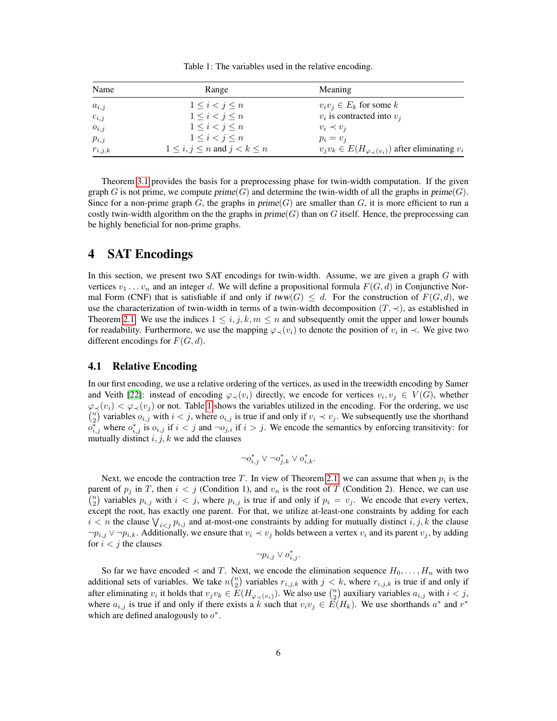Table 1: The variables used in the relative encoding.

<span id="page-5-0"></span>

| Name        | Range                                   | Meaning                                                           |  |  |
|-------------|-----------------------------------------|-------------------------------------------------------------------|--|--|
| $a_{i,j}$   | $1 \leq i \leq j \leq n$                | $v_i v_j \in E_k$ for some k                                      |  |  |
| $c_{i,j}$   | $1\leq i < j \leq n$                    | $v_i$ is contracted into $v_i$                                    |  |  |
| $o_{i,j}$   | $1\leq i < j \leq n$                    | $v_i \prec v_i$                                                   |  |  |
| $p_{i,j}$   | $1\leq i< j\leq n$                      | $p_i = v_i$                                                       |  |  |
| $r_{i,j,k}$ | $1 \leq i, j \leq n$ and $j < k \leq n$ | $v_j v_k \in E(H_{\varphi_{\prec}(v_i)})$ after eliminating $v_i$ |  |  |

Theorem [3.1](#page-4-0) provides the basis for a preprocessing phase for twin-width computation. If the given graph G is not prime, we compute prime(G) and determine the twin-width of all the graphs in prime(G). Since for a non-prime graph G, the graphs in  $prime(G)$  are smaller than G, it is more efficient to run a costly twin-width algorithm on the the graphs in  $prime(G)$  than on G itself. Hence, the preprocessing can be highly beneficial for non-prime graphs.

### 4 SAT Encodings

In this section, we present two SAT encodings for twin-width. Assume, we are given a graph G with vertices  $v_1 \dots v_n$  and an integer d. We will define a propositional formula  $F(G, d)$  in Conjunctive Normal Form (CNF) that is satisfiable if and only if  $tww(G) \leq d$ . For the construction of  $F(G, d)$ , we use the characterization of twin-width in terms of a twin-width decomposition  $(T, \prec)$ , as established in Theorem [2.1.](#page-3-2) We use the indices  $1 \le i, j, k, m \le n$  and subsequently omit the upper and lower bounds for readability. Furthermore, we use the mapping  $\varphi_{\prec}(v_i)$  to denote the position of  $v_i$  in  $\prec$ . We give two different encodings for  $F(G, d)$ .

#### 4.1 Relative Encoding

In our first encoding, we use a relative ordering of the vertices, as used in the treewidth encoding by Samer and Veith [\[22\]](#page-13-7): instead of encoding  $\varphi_{\prec}(v_i)$  directly, we encode for vertices  $v_i, v_j \in V(G)$ , whether  $\varphi_{\prec}(v_i) < \varphi_{\prec}(v_j)$  or not. Table [1](#page-5-0) shows the variables utilized in the encoding. For the ordering, we use  $\binom{n}{2}$  variables  $o_{i,j}$  with  $i < j$ , where  $o_{i,j}$  is true if and only if  $v_i \prec v_j$ . We subsequently use the shorthand  $o_{i,j}^*$  where  $o_{i,j}^*$  is  $o_{i,j}$  if  $i < j$  and  $\neg o_{j,i}$  if  $i > j$ . We encode the semantics by enforcing transitivity: for mutually distinct  $i, j, k$  we add the clauses

$$
\neg o^*_{i,j} \lor \neg o^*_{j,k} \lor o^*_{i,k}.
$$

Next, we encode the contraction tree T. In view of Theorem [2.1,](#page-3-2) we can assume that when  $p_i$  is the parent of  $p_j$  in T, then  $i < j$  (Condition 1), and  $v_n$  is the root of T (Condition 2). Hence, we can use  $\binom{n}{2}$  variables  $p_{i,j}$  with  $i < j$ , where  $p_{i,j}$  is true if and only if  $p_i = v_j$ . We encode that every vertex, except the root, has exactly one parent. For that, we utilize at-least-one constraints by adding for each  $i < n$  the clause  $\bigvee_{i < j} p_{i,j}$  and at-most-one constraints by adding for mutually distinct  $i, j, k$  the clause  $\neg p_{i,j} \lor \neg p_{i,k}$ . Additionally, we ensure that  $v_i \prec v_j$  holds between a vertex  $v_i$  and its parent  $v_j$ , by adding for  $i < j$  the clauses

$$
\neg p_{i,j} \vee o^*_{i,j}.
$$

So far we have encoded  $\prec$  and T. Next, we encode the elimination sequence  $H_0, \ldots, H_n$  with two additional sets of variables. We take  $n{n \choose 2}$  variables  $r_{i,j,k}$  with  $j < k$ , where  $r_{i,j,k}$  is true if and only if after eliminating  $v_i$  it holds that  $v_jv_k \in E(H_{\varphi_{\prec}(v_i)})$ . We also use  $\binom{n}{2}$  auxiliary variables  $a_{i,j}$  with  $i < j$ , where  $a_{i,j}$  is true if and only if there exists a k such that  $v_i v_j \in \widetilde{E}(H_k)$ . We use shorthands  $a^*$  and  $r^*$ which are defined analogously to  $o^*$ .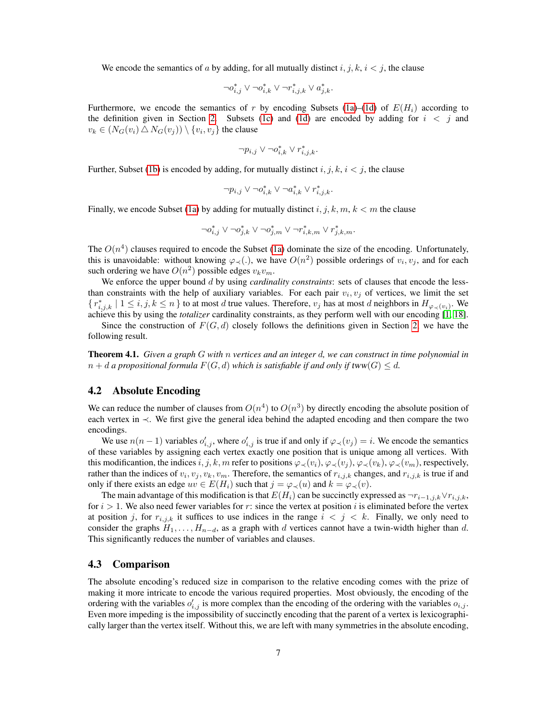We encode the semantics of a by adding, for all mutually distinct  $i, j, k, i < j$ , the clause

$$
\neg o^*_{i,j} \lor \neg o^*_{i,k} \lor \neg r^*_{i,j,k} \lor a^*_{j,k}.
$$

Furthermore, we encode the semantics of r by encoding Subsets [\(1a\)](#page-2-4)–[\(1d\)](#page-2-5) of  $E(H_i)$  according to the definition given in Section [2.](#page-1-0) Subsets [\(1c\)](#page-2-6) and [\(1d\)](#page-2-5) are encoded by adding for  $i < j$  and  $v_k \in (N_G(v_i) \bigtriangleup N_G(v_j)) \setminus \{v_i, v_j\}$  the clause

$$
\neg p_{i,j} \lor \neg o^*_{i,k} \lor r^*_{i,j,k}.
$$

Further, Subset [\(1b\)](#page-2-1) is encoded by adding, for mutually distinct  $i, j, k, i < j$ , the clause

$$
\neg p_{i,j} \lor \neg o_{i,k}^* \lor \neg a_{i,k}^* \lor r_{i,j,k}^*.
$$

Finally, we encode Subset [\(1a\)](#page-2-4) by adding for mutually distinct  $i, j, k, m, k < m$  the clause

$$
\neg o_{i,j}^* \vee \neg o_{j,k}^* \vee \neg o_{j,m}^* \vee \neg r_{i,k,m}^* \vee r_{j,k,m}^*.
$$

The  $O(n^4)$  clauses required to encode the Subset [\(1a\)](#page-2-4) dominate the size of the encoding. Unfortunately, this is unavoidable: without knowing  $\varphi_{\prec}$ (.), we have  $O(n^2)$  possible orderings of  $v_i, v_j$ , and for each such ordering we have  $O(n^2)$  possible edges  $v_k v_m$ .

We enforce the upper bound d by using *cardinality constraints*: sets of clauses that encode the lessthan constraints with the help of auxiliary variables. For each pair  $v_i, v_j$  of vertices, we limit the set  $\{r_{i,j,k}^*\mid 1\leq i,j,k\leq n\}$  to at most d true values. Therefore,  $v_j$  has at most d neighbors in  $H_{\varphi_{\prec}(v_i)}$ . We achieve this by using the *totalizer* cardinality constraints, as they perform well with our encoding [\[1,](#page-12-8) [18\]](#page-13-11).

Since the construction of  $F(G, d)$  closely follows the definitions given in Section [2,](#page-1-0) we have the following result.

Theorem 4.1. *Given a graph* G *with* n *vertices and an integer* d*, we can construct in time polynomial in*  $n + d$  *a propositional formula*  $F(G, d)$  *which is satisfiable if and only if tww(G)*  $\leq d$ *.* 

#### 4.2 Absolute Encoding

We can reduce the number of clauses from  $O(n^4)$  to  $O(n^3)$  by directly encoding the absolute position of each vertex in ≺. We first give the general idea behind the adapted encoding and then compare the two encodings.

We use  $n(n-1)$  variables  $o'_{i,j}$ , where  $o'_{i,j}$  is true if and only if  $\varphi_{\prec}(v_j) = i$ . We encode the semantics of these variables by assigning each vertex exactly one position that is unique among all vertices. With this modificantion, the indices i, j, k, m refer to positions  $\varphi_{\prec}(v_i), \varphi_{\prec}(v_i), \varphi_{\prec}(v_k), \varphi_{\prec}(v_m)$ , respectively, rather than the indices of  $v_i, v_j, v_k, v_m$ . Therefore, the semantics of  $r_{i,j,k}$  changes, and  $r_{i,j,k}$  is true if and only if there exists an edge  $uv \in E(H_i)$  such that  $j = \varphi_{\prec}(u)$  and  $k = \varphi_{\prec}(v)$ .

The main advantage of this modification is that  $E(H_i)$  can be succinctly expressed as  $\neg r_{i-1,j,k} \lor r_{i,j,k}$ , for  $i > 1$ . We also need fewer variables for r: since the vertex at position i is eliminated before the vertex at position j, for  $r_{i,j,k}$  it suffices to use indices in the range  $i < j < k$ . Finally, we only need to consider the graphs  $H_1, \ldots, H_{n-d}$ , as a graph with d vertices cannot have a twin-width higher than d. This significantly reduces the number of variables and clauses.

#### 4.3 Comparison

The absolute encoding's reduced size in comparison to the relative encoding comes with the prize of making it more intricate to encode the various required properties. Most obviously, the encoding of the ordering with the variables  $o'_{i,j}$  is more complex than the encoding of the ordering with the variables  $o_{i,j}$ . Even more impeding is the impossibility of succinctly encoding that the parent of a vertex is lexicographically larger than the vertex itself. Without this, we are left with many symmetries in the absolute encoding,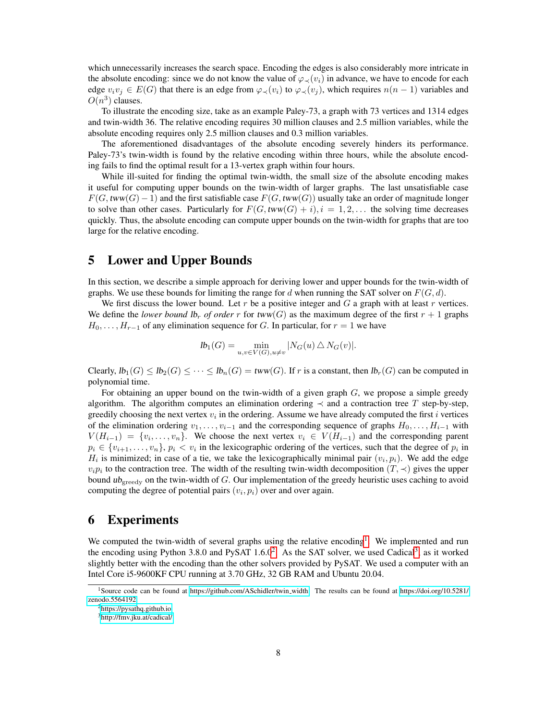which unnecessarily increases the search space. Encoding the edges is also considerably more intricate in the absolute encoding: since we do not know the value of  $\varphi_{\prec}(v_i)$  in advance, we have to encode for each edge  $v_i v_j \in E(G)$  that there is an edge from  $\varphi_{\prec}(v_i)$  to  $\varphi_{\prec}(v_j)$ , which requires  $n(n-1)$  variables and  $O(n^3)$  clauses.

To illustrate the encoding size, take as an example Paley-73, a graph with 73 vertices and 1314 edges and twin-width 36. The relative encoding requires 30 million clauses and 2.5 million variables, while the absolute encoding requires only 2.5 million clauses and 0.3 million variables.

The aforementioned disadvantages of the absolute encoding severely hinders its performance. Paley-73's twin-width is found by the relative encoding within three hours, while the absolute encoding fails to find the optimal result for a 13-vertex graph within four hours.

While ill-suited for finding the optimal twin-width, the small size of the absolute encoding makes it useful for computing upper bounds on the twin-width of larger graphs. The last unsatisfiable case  $F(G, \text{tww}(G) - 1)$  and the first satisfiable case  $F(G, \text{tww}(G))$  usually take an order of magnitude longer to solve than other cases. Particularly for  $F(G, tww(G) + i), i = 1, 2, \ldots$  the solving time decreases quickly. Thus, the absolute encoding can compute upper bounds on the twin-width for graphs that are too large for the relative encoding.

### <span id="page-7-0"></span>5 Lower and Upper Bounds

In this section, we describe a simple approach for deriving lower and upper bounds for the twin-width of graphs. We use these bounds for limiting the range for d when running the SAT solver on  $F(G, d)$ .

We first discuss the lower bound. Let r be a positive integer and  $G$  a graph with at least r vertices. We define the *lower bound*  $\mathsf{lb}_r$  *of order* r for  $\mathsf{tww}(G)$  as the maximum degree of the first  $r + 1$  graphs  $H_0, \ldots, H_{r-1}$  of any elimination sequence for G. In particular, for  $r = 1$  we have

$$
lb_1(G) = \min_{u,v \in V(G), u \neq v} |N_G(u) \triangle N_G(v)|.
$$

Clearly,  $lb_1(G) \leq lb_2(G) \leq \cdots \leq lb_n(G) = tww(G)$ . If r is a constant, then  $lb_r(G)$  can be computed in polynomial time.

For obtaining an upper bound on the twin-width of a given graph  $G$ , we propose a simple greedy algorithm. The algorithm computes an elimination ordering  $\prec$  and a contraction tree T step-by-step, greedily choosing the next vertex  $v_i$  in the ordering. Assume we have already computed the first i vertices of the elimination ordering  $v_1, \ldots, v_{i-1}$  and the corresponding sequence of graphs  $H_0, \ldots, H_{i-1}$  with  $V(H_{i-1}) = \{v_i, \ldots, v_n\}$ . We choose the next vertex  $v_i \in V(H_{i-1})$  and the corresponding parent  $p_i \in \{v_{i+1}, \ldots, v_n\}, p_i < v_i$  in the lexicographic ordering of the vertices, such that the degree of  $p_i$  in  $H_i$  is minimized; in case of a tie, we take the lexicographically minimal pair  $(v_i, p_i)$ . We add the edge  $v_i p_i$  to the contraction tree. The width of the resulting twin-width decomposition  $(T, \prec)$  gives the upper bound  $ub_{\text{greedy}}$  on the twin-width of  $G$ . Our implementation of the greedy heuristic uses caching to avoid computing the degree of potential pairs  $(v_i, p_i)$  over and over again.

### 6 Experiments

We computed the twin-width of several graphs using the relative encoding<sup>[1](#page-0-0)</sup>. We implemented and run the encoding using Python [3](#page-0-0).8.0 and PySAT  $1.6.0<sup>2</sup>$  $1.6.0<sup>2</sup>$  $1.6.0<sup>2</sup>$ . As the SAT solver, we used Cadical<sup>3</sup>, as it worked slightly better with the encoding than the other solvers provided by PySAT. We used a computer with an Intel Core i5-9600KF CPU running at 3.70 GHz, 32 GB RAM and Ubuntu 20.04.

<sup>1</sup>Source code can be found at [https://github.com/ASchidler/twin](https://github.com/ASchidler/twin_width) width. The results can be found at [https://doi.org/10.5281/](https://doi.org/10.5281/zenodo.5564192) [zenodo.5564192.](https://doi.org/10.5281/zenodo.5564192)

<sup>&</sup>lt;sup>2</sup><https://pysathq.github.io>

<sup>3</sup><http://fmv.jku.at/cadical/>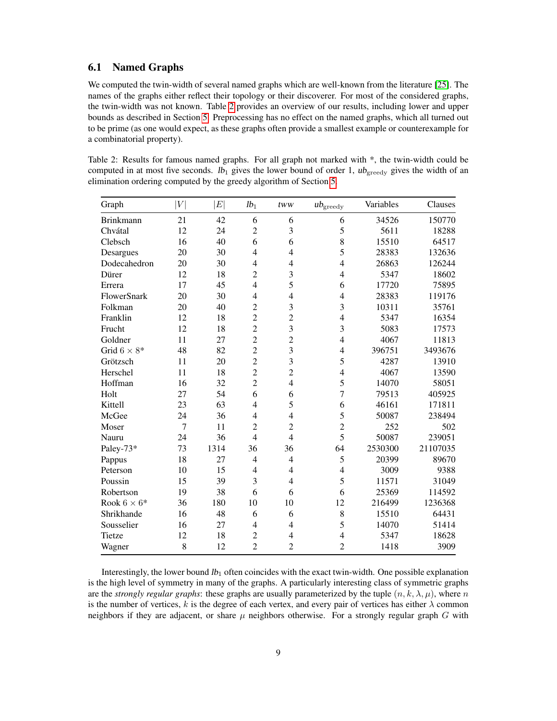#### <span id="page-8-1"></span>6.1 Named Graphs

We computed the twin-width of several named graphs which are well-known from the literature [\[25\]](#page-13-12). The names of the graphs either reflect their topology or their discoverer. For most of the considered graphs, the twin-width was not known. Table [2](#page-8-0) provides an overview of our results, including lower and upper bounds as described in Section [5.](#page-7-0) Preprocessing has no effect on the named graphs, which all turned out to be prime (as one would expect, as these graphs often provide a smallest example or counterexample for a combinatorial property).

<span id="page-8-0"></span>Table 2: Results for famous named graphs. For all graph not marked with \*, the twin-width could be computed in at most five seconds.  $lb_1$  gives the lower bound of order 1,  $ub_{\text{greedy}}$  gives the width of an elimination ordering computed by the greedy algorithm of Section [5.](#page-7-0)

| Graph               | V  | $E\vert$ | $1b_1$         | tww                     | $ub_{\rm greedy}$ | Variables | Clauses  |
|---------------------|----|----------|----------------|-------------------------|-------------------|-----------|----------|
| <b>Brinkmann</b>    | 21 | 42       | 6              | 6                       | 6                 | 34526     | 150770   |
| Chvátal             | 12 | 24       | $\overline{c}$ | 3                       | 5                 | 5611      | 18288    |
| Clebsch             | 16 | 40       | 6              | 6                       | 8                 | 15510     | 64517    |
| Desargues           | 20 | 30       | $\overline{4}$ | $\overline{4}$          | 5                 | 28383     | 132636   |
| Dodecahedron        | 20 | 30       | $\overline{4}$ | 4                       | 4                 | 26863     | 126244   |
| Dürer               | 12 | 18       | $\overline{c}$ | 3                       | 4                 | 5347      | 18602    |
| Errera              | 17 | 45       | $\overline{4}$ | 5                       | 6                 | 17720     | 75895    |
| FlowerSnark         | 20 | 30       | $\overline{4}$ | $\overline{4}$          | 4                 | 28383     | 119176   |
| Folkman             | 20 | 40       | $\overline{c}$ | $\overline{\mathbf{3}}$ | 3                 | 10311     | 35761    |
| Franklin            | 12 | 18       | $\overline{2}$ | $\overline{2}$          | $\overline{4}$    | 5347      | 16354    |
| Frucht              | 12 | 18       | $\overline{c}$ | 3                       | 3                 | 5083      | 17573    |
| Goldner             | 11 | 27       | $\overline{c}$ | $\overline{c}$          | $\overline{4}$    | 4067      | 11813    |
| Grid $6 \times 8^*$ | 48 | 82       | $\overline{2}$ | $\overline{\mathbf{3}}$ | 4                 | 396751    | 3493676  |
| Grötzsch            | 11 | 20       | $\overline{c}$ | 3                       | 5                 | 4287      | 13910    |
| Herschel            | 11 | 18       | $\overline{c}$ | $\overline{c}$          | $\overline{4}$    | 4067      | 13590    |
| Hoffman             | 16 | 32       | $\overline{c}$ | $\overline{4}$          | 5                 | 14070     | 58051    |
| Holt                | 27 | 54       | 6              | 6                       | $\overline{7}$    | 79513     | 405925   |
| Kittell             | 23 | 63       | $\overline{4}$ | 5                       | 6                 | 46161     | 171811   |
| McGee               | 24 | 36       | $\overline{4}$ | $\overline{4}$          | 5                 | 50087     | 238494   |
| Moser               | 7  | 11       | $\overline{2}$ | $\overline{2}$          | $\overline{2}$    | 252       | 502      |
| Nauru               | 24 | 36       | $\overline{4}$ | $\overline{4}$          | 5                 | 50087     | 239051   |
| Paley-73*           | 73 | 1314     | 36             | 36                      | 64                | 2530300   | 21107035 |
| Pappus              | 18 | 27       | $\overline{4}$ | $\overline{4}$          | 5                 | 20399     | 89670    |
| Peterson            | 10 | 15       | $\overline{4}$ | $\overline{4}$          | 4                 | 3009      | 9388     |
| Poussin             | 15 | 39       | 3              | $\overline{4}$          | 5                 | 11571     | 31049    |
| Robertson           | 19 | 38       | 6              | 6                       | 6                 | 25369     | 114592   |
| Rook $6 \times 6^*$ | 36 | 180      | 10             | 10                      | 12                | 216499    | 1236368  |
| Shrikhande          | 16 | 48       | 6              | 6                       | 8                 | 15510     | 64431    |
| Sousselier          | 16 | 27       | $\overline{4}$ | $\overline{4}$          | 5                 | 14070     | 51414    |
| Tietze              | 12 | 18       | $\overline{2}$ | $\overline{4}$          | 4                 | 5347      | 18628    |
| Wagner              | 8  | 12       | $\overline{2}$ | $\overline{c}$          | $\overline{2}$    | 1418      | 3909     |

Interestingly, the lower bound  $lb<sub>1</sub>$  often coincides with the exact twin-width. One possible explanation is the high level of symmetry in many of the graphs. A particularly interesting class of symmetric graphs are the *strongly regular graphs*: these graphs are usually parameterized by the tuple  $(n, k, \lambda, \mu)$ , where n is the number of vertices, k is the degree of each vertex, and every pair of vertices has either  $\lambda$  common neighbors if they are adjacent, or share  $\mu$  neighbors otherwise. For a strongly regular graph G with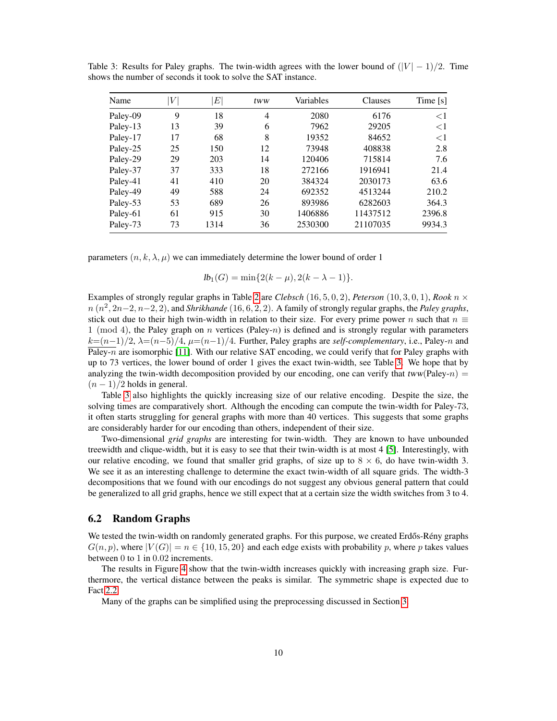| Name     | V  | $E\vert$ | tww | Variables | Clauses  | Time [s] |
|----------|----|----------|-----|-----------|----------|----------|
| Paley-09 | 9  | 18       | 4   | 2080      | 6176     | ${<}1$   |
| Paley-13 | 13 | 39       | 6   | 7962      | 29205    | ${<}1$   |
| Paley-17 | 17 | 68       | 8   | 19352     | 84652    | $\leq$ 1 |
| Paley-25 | 25 | 150      | 12  | 73948     | 408838   | 2.8      |
| Paley-29 | 29 | 203      | 14  | 120406    | 715814   | 7.6      |
| Paley-37 | 37 | 333      | 18  | 272166    | 1916941  | 21.4     |
| Paley-41 | 41 | 410      | 20  | 384324    | 2030173  | 63.6     |
| Paley-49 | 49 | 588      | 24  | 692352    | 4513244  | 210.2    |
| Paley-53 | 53 | 689      | 26  | 893986    | 6282603  | 364.3    |
| Paley-61 | 61 | 915      | 30  | 1406886   | 11437512 | 2396.8   |
| Paley-73 | 73 | 1314     | 36  | 2530300   | 21107035 | 9934.3   |

<span id="page-9-0"></span>Table 3: Results for Paley graphs. The twin-width agrees with the lower bound of  $(|V| - 1)/2$ . Time shows the number of seconds it took to solve the SAT instance.

parameters  $(n, k, \lambda, \mu)$  we can immediately determine the lower bound of order 1

$$
lb_1(G) = \min\{2(k-\mu), 2(k-\lambda-1)\}.
$$

Examples of strongly regular graphs in Table [2](#page-8-0) are *Clebsch* (16, 5, 0, 2), *Peterson* (10, 3, 0, 1), *Rook* n ×  $n (n^2, 2n-2, n-2, 2)$ , and *Shrikhande* (16, 6, 2, 2). A family of strongly regular graphs, the *Paley graphs*, stick out due to their high twin-width in relation to their size. For every prime power n such that  $n \equiv$ 1 (mod 4), the Paley graph on n vertices (Paley-n) is defined and is strongly regular with parameters  $k=(n-1)/2$ ,  $\lambda=(n-5)/4$ ,  $\mu=(n-1)/4$ . Further, Paley graphs are *self-complementary*, i.e., Paley-n and  $\overline{\text{Paley-}n}$  are isomorphic [\[11\]](#page-12-9). With our relative SAT encoding, we could verify that for Paley graphs with up to 73 vertices, the lower bound of order 1 gives the exact twin-width, see Table [3.](#page-9-0) We hope that by analyzing the twin-width decomposition provided by our encoding, one can verify that tww(Paley-n) =  $(n - 1)/2$  holds in general.

Table [3](#page-9-0) also highlights the quickly increasing size of our relative encoding. Despite the size, the solving times are comparatively short. Although the encoding can compute the twin-width for Paley-73, it often starts struggling for general graphs with more than 40 vertices. This suggests that some graphs are considerably harder for our encoding than others, independent of their size.

Two-dimensional *grid graphs* are interesting for twin-width. They are known to have unbounded treewidth and clique-width, but it is easy to see that their twin-width is at most 4 [\[5\]](#page-12-10). Interestingly, with our relative encoding, we found that smaller grid graphs, of size up to  $8 \times 6$ , do have twin-width 3. We see it as an interesting challenge to determine the exact twin-width of all square grids. The width-3 decompositions that we found with our encodings do not suggest any obvious general pattern that could be generalized to all grid graphs, hence we still expect that at a certain size the width switches from 3 to 4.

#### 6.2 Random Graphs

We tested the twin-width on randomly generated graphs. For this purpose, we created Erdős-Rény graphs  $G(n, p)$ , where  $|V(G)| = n \in \{10, 15, 20\}$  and each edge exists with probability p, where p takes values between 0 to 1 in 0.02 increments.

The results in Figure [4](#page-10-0) show that the twin-width increases quickly with increasing graph size. Furthermore, the vertical distance between the peaks is similar. The symmetric shape is expected due to Fact [2.2.](#page-2-3)

Many of the graphs can be simplified using the preprocessing discussed in Section [3.](#page-4-1)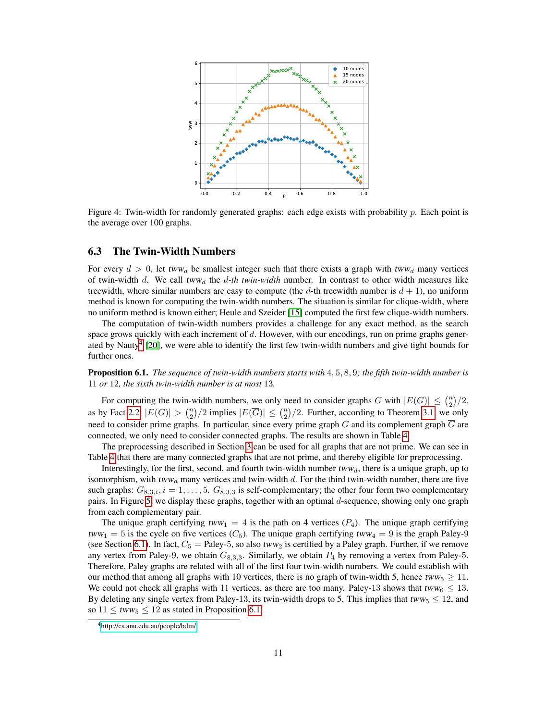<span id="page-10-0"></span>

Figure 4: Twin-width for randomly generated graphs: each edge exists with probability p. Each point is the average over 100 graphs.

#### 6.3 The Twin-Width Numbers

For every  $d > 0$ , let tww<sub>d</sub> be smallest integer such that there exists a graph with tww<sub>d</sub> many vertices of twin-width d. We call tww<sub>d</sub> the d-th twin-width number. In contrast to other width measures like treewidth, where similar numbers are easy to compute (the d-th treewidth number is  $d + 1$ ), no uniform method is known for computing the twin-width numbers. The situation is similar for clique-width, where no uniform method is known either; Heule and Szeider [\[15\]](#page-13-2) computed the first few clique-width numbers.

The computation of twin-width numbers provides a challenge for any exact method, as the search space grows quickly with each increment of  $d$ . However, with our encodings, run on prime graphs gener-ated by Nauty<sup>[4](#page-0-0)</sup> [\[20\]](#page-13-13), we were able to identify the first few twin-width numbers and give tight bounds for further ones.

<span id="page-10-1"></span>Proposition 6.1. *The sequence of twin-width numbers starts with* 4, 5, 8, 9*; the fifth twin-width number is* 11 *or* 12*, the sixth twin-width number is at most* 13*.*

For computing the twin-width numbers, we only need to consider graphs G with  $|E(G)| \leq {n \choose 2}/2$ , as by Fact [2.2,](#page-2-3)  $|E(G)| > \binom{n}{2}/2$  implies  $|E(\overline{G})| \le \binom{n}{2}/2$ . Further, according to Theorem [3.1,](#page-4-0) we only need to consider prime graphs. In particular, since every prime graph G and its complement graph  $\overline{G}$  are connected, we only need to consider connected graphs. The results are shown in Table [4.](#page-11-0)

The preprocessing described in Section [3](#page-4-1) can be used for all graphs that are not prime. We can see in Table [4](#page-11-0) that there are many connected graphs that are not prime, and thereby eligible for preprocessing.

Interestingly, for the first, second, and fourth twin-width number  $tww_d$ , there is a unique graph, up to isomorphism, with  $tww_d$  many vertices and twin-width d. For the third twin-width number, there are five such graphs:  $G_{8,3,i}$ ,  $i = 1, \ldots, 5$ .  $G_{8,3,3}$  is self-complementary; the other four form two complementary pairs. In Figure [5,](#page-11-1) we display these graphs, together with an optimal d-sequence, showing only one graph from each complementary pair.

The unique graph certifying  $tww_1 = 4$  is the path on 4 vertices  $(P_4)$ . The unique graph certifying  $tww_1 = 5$  is the cycle on five vertices ( $C_5$ ). The unique graph certifying  $tww_4 = 9$  is the graph Paley-9 (see Section [6.1\)](#page-8-1). In fact,  $C_5$  = Paley-5, so also tww<sub>2</sub> is certified by a Paley graph. Further, if we remove any vertex from Paley-9, we obtain  $G_{8,3,3}$ . Similarly, we obtain  $P_4$  by removing a vertex from Paley-5. Therefore, Paley graphs are related with all of the first four twin-width numbers. We could establish with our method that among all graphs with 10 vertices, there is no graph of twin-width 5, hence tww<sub>5</sub>  $\geq$  11. We could not check all graphs with 11 vertices, as there are too many. Paley-13 shows that tww<sub>6</sub>  $\leq$  13. By deleting any single vertex from Paley-13, its twin-width drops to 5. This implies that  $tww_5 \le 12$ , and so  $11 \leq tww_5 \leq 12$  as stated in Proposition [6.1.](#page-10-1)

<sup>4</sup><http://cs.anu.edu.au/people/bdm/>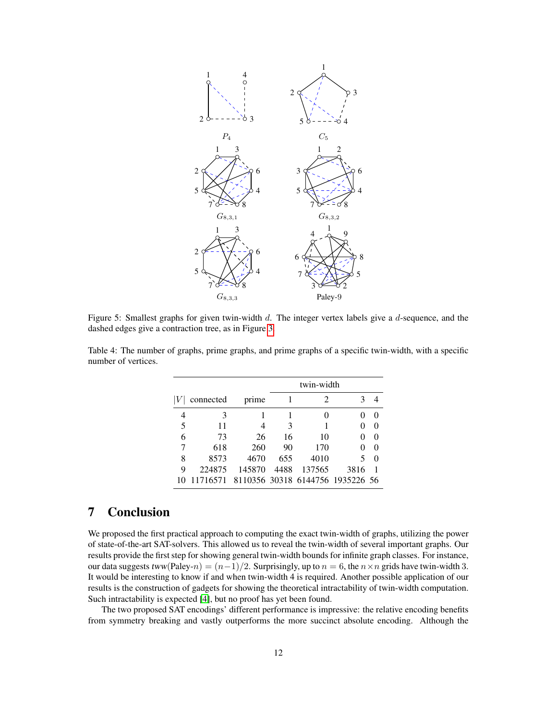<span id="page-11-1"></span>

Figure 5: Smallest graphs for given twin-width d. The integer vertex labels give a d-sequence, and the dashed edges give a contraction tree, as in Figure [3.](#page-3-1)

|   |           |        |      | twin-width                       |      |              |  |  |
|---|-----------|--------|------|----------------------------------|------|--------------|--|--|
|   | connected | prime  |      | 2                                |      |              |  |  |
| 4 | 3         |        |      | $\Omega$                         |      |              |  |  |
| 5 | 11        | 4      | 3    |                                  |      | $\mathbf{0}$ |  |  |
| 6 | 73        | 26     | 16   | 10                               |      | $\theta$     |  |  |
|   | 618       | 260    | 90   | 170                              |      | $\Omega$     |  |  |
| 8 | 8573      | 4670   | 655  | 4010                             | 5    | $\theta$     |  |  |
| 9 | 224875    | 145870 | 4488 | 137565                           | 3816 |              |  |  |
|   | 11716571  |        |      | 8110356 30318 6144756 1935226 56 |      |              |  |  |

<span id="page-11-0"></span>Table 4: The number of graphs, prime graphs, and prime graphs of a specific twin-width, with a specific number of vertices.

## 7 Conclusion

We proposed the first practical approach to computing the exact twin-width of graphs, utilizing the power of state-of-the-art SAT-solvers. This allowed us to reveal the twin-width of several important graphs. Our results provide the first step for showing general twin-width bounds for infinite graph classes. For instance, our data suggests  $tww(Paley-n) = (n-1)/2$ . Surprisingly, up to  $n = 6$ , the  $n \times n$  grids have twin-width 3. It would be interesting to know if and when twin-width 4 is required. Another possible application of our results is the construction of gadgets for showing the theoretical intractability of twin-width computation. Such intractability is expected [\[4\]](#page-12-2), but no proof has yet been found.

The two proposed SAT encodings' different performance is impressive: the relative encoding benefits from symmetry breaking and vastly outperforms the more succinct absolute encoding. Although the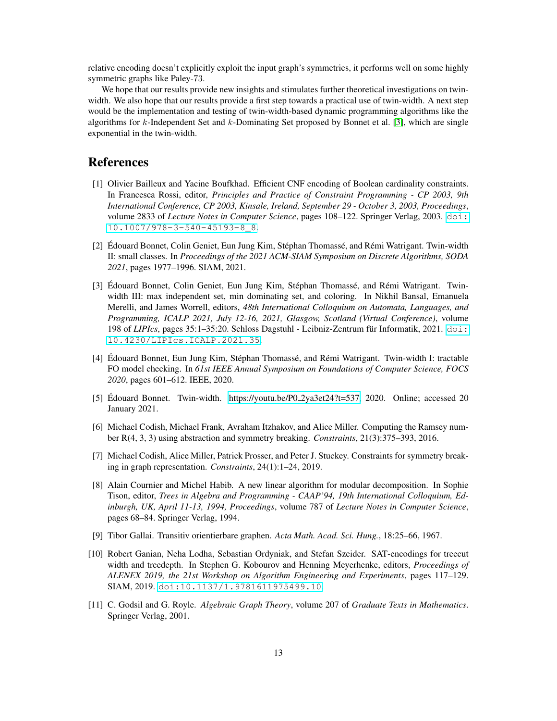relative encoding doesn't explicitly exploit the input graph's symmetries, it performs well on some highly symmetric graphs like Paley-73.

We hope that our results provide new insights and stimulates further theoretical investigations on twinwidth. We also hope that our results provide a first step towards a practical use of twin-width. A next step would be the implementation and testing of twin-width-based dynamic programming algorithms like the algorithms for k-Independent Set and k-Dominating Set proposed by Bonnet et al. [\[3\]](#page-12-1), which are single exponential in the twin-width.

### References

- <span id="page-12-8"></span>[1] Olivier Bailleux and Yacine Boufkhad. Efficient CNF encoding of Boolean cardinality constraints. In Francesca Rossi, editor, *Principles and Practice of Constraint Programming - CP 2003, 9th International Conference, CP 2003, Kinsale, Ireland, September 29 - October 3, 2003, Proceedings*, volume 2833 of *Lecture Notes in Computer Science*, pages 108–122. Springer Verlag, 2003. [doi:](https://doi.org/10.1007/978-3-540-45193-8_8) [10.1007/978-3-540-45193-8\\_8](https://doi.org/10.1007/978-3-540-45193-8_8).
- <span id="page-12-0"></span>[2] Édouard Bonnet, Colin Geniet, Eun Jung Kim, Stéphan Thomassé, and Rémi Watrigant. Twin-width II: small classes. In *Proceedings of the 2021 ACM-SIAM Symposium on Discrete Algorithms, SODA 2021*, pages 1977–1996. SIAM, 2021.
- <span id="page-12-1"></span>[3] Edouard Bonnet, Colin Geniet, Eun Jung Kim, Stéphan Thomassé, and Rémi Watrigant. Twinwidth III: max independent set, min dominating set, and coloring. In Nikhil Bansal, Emanuela Merelli, and James Worrell, editors, *48th International Colloquium on Automata, Languages, and Programming, ICALP 2021, July 12-16, 2021, Glasgow, Scotland (Virtual Conference)*, volume 198 of *LIPIcs*, pages 35:1–35:20. Schloss Dagstuhl - Leibniz-Zentrum für Informatik, 2021. [doi:](https://doi.org/10.4230/LIPIcs.ICALP.2021.35) [10.4230/LIPIcs.ICALP.2021.35](https://doi.org/10.4230/LIPIcs.ICALP.2021.35).
- <span id="page-12-2"></span>[4] Edouard Bonnet, Eun Jung Kim, Stéphan Thomassé, and Rémi Watrigant. Twin-width I: tractable FO model checking. In *61st IEEE Annual Symposium on Foundations of Computer Science, FOCS 2020*, pages 601–612. IEEE, 2020.
- <span id="page-12-10"></span>[5] Edouard Bonnet. Twin-width. [https://youtu.be/P0](https://youtu.be/P0_2ya3et24?t=537)\_2ya3et24?t=537, 2020. Online; accessed 20 January 2021.
- <span id="page-12-3"></span>[6] Michael Codish, Michael Frank, Avraham Itzhakov, and Alice Miller. Computing the Ramsey number R(4, 3, 3) using abstraction and symmetry breaking. *Constraints*, 21(3):375–393, 2016.
- <span id="page-12-4"></span>[7] Michael Codish, Alice Miller, Patrick Prosser, and Peter J. Stuckey. Constraints for symmetry breaking in graph representation. *Constraints*, 24(1):1–24, 2019.
- <span id="page-12-6"></span>[8] Alain Cournier and Michel Habib. A new linear algorithm for modular decomposition. In Sophie Tison, editor, *Trees in Algebra and Programming - CAAP'94, 19th International Colloquium, Edinburgh, UK, April 11-13, 1994, Proceedings*, volume 787 of *Lecture Notes in Computer Science*, pages 68–84. Springer Verlag, 1994.
- <span id="page-12-7"></span>[9] Tibor Gallai. Transitiv orientierbare graphen. *Acta Math. Acad. Sci. Hung.*, 18:25–66, 1967.
- <span id="page-12-5"></span>[10] Robert Ganian, Neha Lodha, Sebastian Ordyniak, and Stefan Szeider. SAT-encodings for treecut width and treedepth. In Stephen G. Kobourov and Henning Meyerhenke, editors, *Proceedings of ALENEX 2019, the 21st Workshop on Algorithm Engineering and Experiments*, pages 117–129. SIAM, 2019. [doi:10.1137/1.9781611975499.10](https://doi.org/10.1137/1.9781611975499.10).
- <span id="page-12-9"></span>[11] C. Godsil and G. Royle. *Algebraic Graph Theory*, volume 207 of *Graduate Texts in Mathematics*. Springer Verlag, 2001.